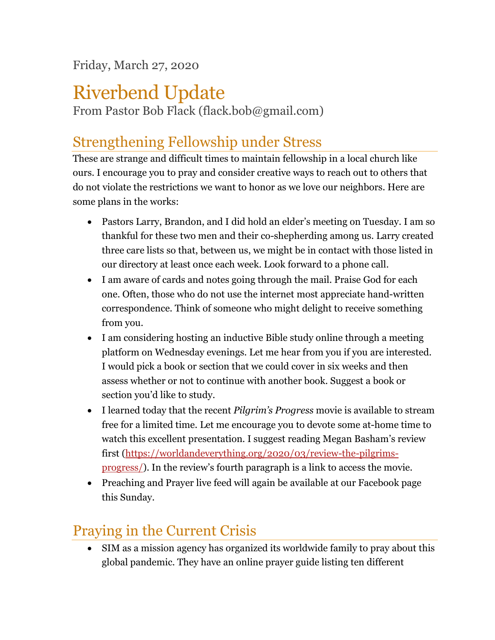Friday, March 27, 2020

## Riverbend Update

From Pastor Bob Flack (flack.bob@gmail.com)

## Strengthening Fellowship under Stress

These are strange and difficult times to maintain fellowship in a local church like ours. I encourage you to pray and consider creative ways to reach out to others that do not violate the restrictions we want to honor as we love our neighbors. Here are some plans in the works:

- Pastors Larry, Brandon, and I did hold an elder's meeting on Tuesday. I am so thankful for these two men and their co-shepherding among us. Larry created three care lists so that, between us, we might be in contact with those listed in our directory at least once each week. Look forward to a phone call.
- I am aware of cards and notes going through the mail. Praise God for each one. Often, those who do not use the internet most appreciate hand-written correspondence. Think of someone who might delight to receive something from you.
- I am considering hosting an inductive Bible study online through a meeting platform on Wednesday evenings. Let me hear from you if you are interested. I would pick a book or section that we could cover in six weeks and then assess whether or not to continue with another book. Suggest a book or section you'd like to study.
- I learned today that the recent *Pilgrim's Progress* movie is available to stream free for a limited time. Let me encourage you to devote some at-home time to watch this excellent presentation. I suggest reading Megan Basham's review first [\(https://worldandeverything.org/2020/03/review-the-pilgrims](https://worldandeverything.org/2020/03/review-the-pilgrims-progress/)[progress/\)](https://worldandeverything.org/2020/03/review-the-pilgrims-progress/). In the review's fourth paragraph is a link to access the movie.
- Preaching and Prayer live feed will again be available at our Facebook page this Sunday.

## Praying in the Current Crisis

• SIM as a mission agency has organized its worldwide family to pray about this global pandemic. They have an online prayer guide listing ten different